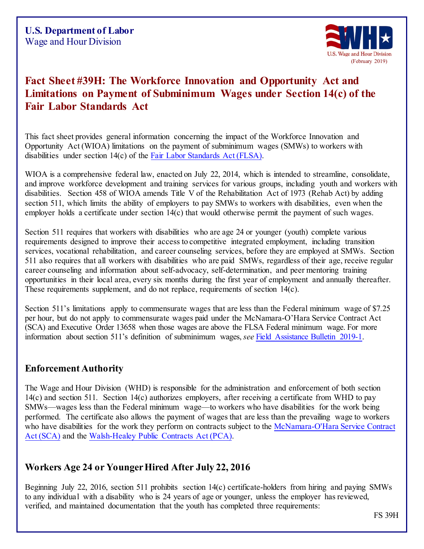

# **Fact Sheet #39H: The Workforce Innovation and Opportunity Act and Limitations on Payment of Subminimum Wages under Section 14(c) of the Fair Labor Standards Act**

This fact sheet provides general information concerning the impact of the Workforce Innovation and Opportunity Act (WIOA) limitations on the payment of subminimum wages (SMWs) to workers with disabilities under section 14(c) of the Fair Labor [Standards Act](http://www.dol.gov/esa/whd/flsa/index.htm) (FLSA).

WIOA is a comprehensive federal law, enacted on July 22, 2014, which is intended to streamline, consolidate, and improve workforce development and training services for various groups, including youth and workers with disabilities. Section 458 of WIOA amends Title V of the Rehabilitation Act of 1973 (Rehab Act) by adding section 511, which limits the ability of employers to pay SMWs to workers with disabilities, even when the employer holds a certificate under section 14(c) that would otherwise permit the payment of such wages.

Section 511 requires that workers with disabilities who are age 24 or younger (youth) complete various requirements designed to improve their access to competitive integrated employment, including transition services, vocational rehabilitation, and career counseling services, before they are employed at SMWs. Section 511 also requires that all workers with disabilities who are paid SMWs, regardless of their age, receive regular career counseling and information about self-advocacy, self-determination, and peer mentoring training opportunities in their local area, every six months during the first year of employment and annually thereafter. These requirements supplement, and do not replace, requirements of section 14(c).

Section 511's limitations apply to commensurate wages that are less than the Federal minimum wage of \$7.25 per hour, but do not apply to commensurate wages paid under the McNamara-O'Hara Service Contract Act (SCA) and Executive Order 13658 when those wages are above the FLSA Federal minimum wage. For more information about section 511's definition of subminimum wages, *see* Field [Assistance Bulletin 201](https://www.dol.gov/whd/FieldBulletins/fab2019_1.pdf)9-1.

### **Enforcement Authority**

The Wage and Hour Division (WHD) is responsible for the administration and enforcement of both section 14(c) and section 511. Section 14(c) authorizes employers, after receiving a certificate from WHD to pay SMWs—wages less than the Federal minimum wage—to workers who have disabilities for the work being performed. The certificate also allows the payment of wages that are less than the prevailing wage to workers who have disabilities for the work they perform on contracts subject to the [McNamara-O'Hara Service Contract](http://www.dol.gov/esa/whd/contracts/sca.htm) [Act \(SCA\)](http://www.dol.gov/esa/whd/contracts/sca.htm) and the Walsh-Healey [Public Contracts Act](http://www.dol.gov/esa/whd/contracts/pca.htm) (PCA).

### **Workers Age 24 or Younger Hired After July 22, 2016**

Beginning July 22, 2016, section 511 prohibits section 14(c) certificate-holders from hiring and paying SMWs to any individual with a disability who is 24 years of age or younger, unless the employer has reviewed, verified, and maintained documentation that the youth has completed three requirements:

FS 39H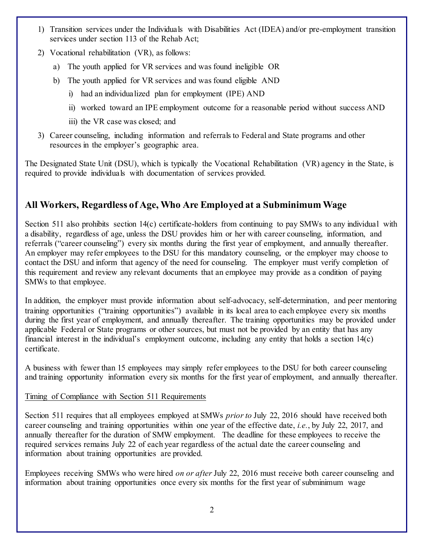- 1) Transition services under the Individuals with Disabilities Act (IDEA) and/or pre-employment transition services under section 113 of the Rehab Act;
- 2) Vocational rehabilitation (VR), as follows:
	- a) The youth applied for VR services and was found ineligible OR
	- b) The youth applied for VR services and was found eligible AND
		- i) had an individualized plan for employment (IPE) AND
		- ii) worked toward an IPE employment outcome for a reasonable period without success AND
		- iii) the VR case was closed; and
- 3) Career counseling, including information and referrals to Federal and State programs and other resources in the employer's geographic area.

The Designated State Unit (DSU), which is typically the Vocational Rehabilitation (VR) agency in the State, is required to provide individuals with documentation of services provided.

# **All Workers, Regardless of Age, Who Are Employed at a Subminimum Wage**

Section 511 also prohibits section 14(c) certificate-holders from continuing to pay SMWs to any individual with a disability, regardless of age, unless the DSU provides him or her with career counseling, information, and referrals ("career counseling") every six months during the first year of employment, and annually thereafter. An employer may refer employees to the DSU for this mandatory counseling, or the employer may choose to contact the DSU and inform that agency of the need for counseling. The employer must verify completion of this requirement and review any relevant documents that an employee may provide as a condition of paying SMWs to that employee.

In addition, the employer must provide information about self-advocacy, self-determination, and peer mentoring training opportunities ("training opportunities") available in its local area to each employee every six months during the first year of employment, and annually thereafter. The training opportunities may be provided under applicable Federal or State programs or other sources, but must not be provided by an entity that has any financial interest in the individual's employment outcome, including any entity that holds a section 14(c) certificate.

A business with fewer than 15 employees may simply refer employees to the DSU for both career counseling and training opportunity information every six months for the first year of employment, and annually thereafter.

#### Timing of Compliance with Section 511 Requirements

Section 511 requires that all employees employed at SMWs *prior to* July 22, 2016 should have received both career counseling and training opportunities within one year of the effective date, *i.e.*, by July 22, 2017, and annually thereafter for the duration of SMW employment. The deadline for these employees to receive the required services remains July 22 of each year regardless of the actual date the career counseling and information about training opportunities are provided.

Employees receiving SMWs who were hired *on or after* July 22, 2016 must receive both career counseling and information about training opportunities once every six months for the first year of subminimum wage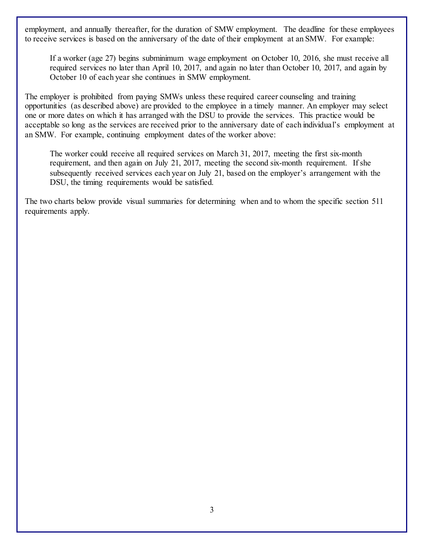employment, and annually thereafter, for the duration of SMW employment. The deadline for these employees to receive services is based on the anniversary of the date of their employment at an SMW. For example:

If a worker (age 27) begins subminimum wage employment on October 10, 2016, she must receive all required services no later than April 10, 2017, and again no later than October 10, 2017, and again by October 10 of each year she continues in SMW employment.

The employer is prohibited from paying SMWs unless these required career counseling and training opportunities (as described above) are provided to the employee in a timely manner. An employer may select one or more dates on which it has arranged with the DSU to provide the services. This practice would be acceptable so long as the services are received prior to the anniversary date of each individual's employment at an SMW. For example, continuing employment dates of the worker above:

The worker could receive all required services on March 31, 2017, meeting the first six-month requirement, and then again on July 21, 2017, meeting the second six-month requirement. If she subsequently received services each year on July 21, based on the employer's arrangement with the DSU, the timing requirements would be satisfied.

The two charts below provide visual summaries for determining when and to whom the specific section 511 requirements apply.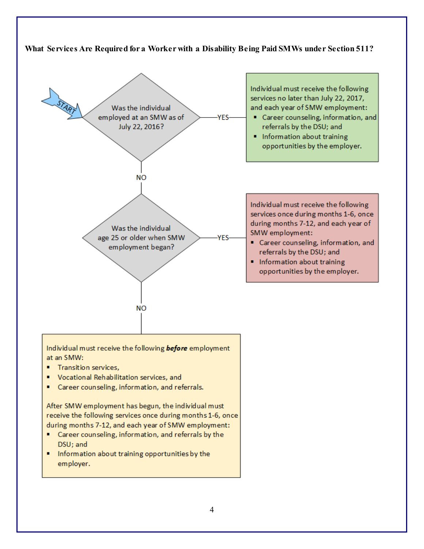

Information about training opportunities by the employer.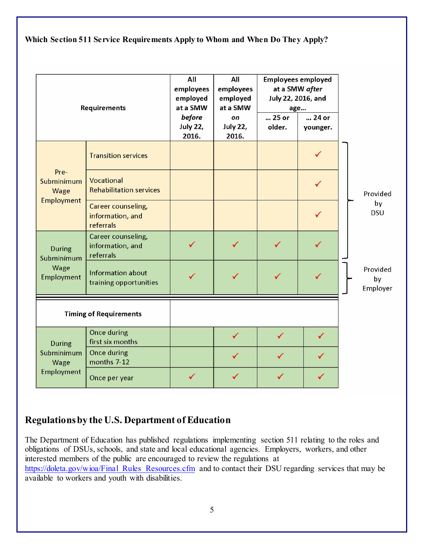**Which Section 511 Service Requirements Apply to Whom and When Do They Apply?**

| Requirements                                      |                                                     | All<br>employees<br>employed<br>at a SMW<br>before<br><b>July 22,</b><br>2016. | All<br>employees<br>employed<br>at a SMW<br>on<br><b>July 22,</b><br>2016. | <b>Employees employed</b><br>at a SMW after<br>July 22, 2016, and<br>age<br>25 or<br>older. | 24 or<br>younger. |                            |
|---------------------------------------------------|-----------------------------------------------------|--------------------------------------------------------------------------------|----------------------------------------------------------------------------|---------------------------------------------------------------------------------------------|-------------------|----------------------------|
| Pre-<br>Subminimum<br>Wage<br><b>Employment</b>   | <b>Transition services</b>                          |                                                                                |                                                                            |                                                                                             |                   |                            |
|                                                   | Vocational<br><b>Rehabilitation services</b>        |                                                                                |                                                                            |                                                                                             |                   | Provided                   |
|                                                   | Career counseling,<br>information, and<br>referrals |                                                                                |                                                                            |                                                                                             |                   | by<br><b>DSU</b>           |
| <b>During</b><br>Subminimum<br>Wage<br>Employment | Career counseling,<br>information, and<br>referrals |                                                                                |                                                                            | ✓                                                                                           |                   |                            |
|                                                   | <b>Information about</b><br>training opportunities  |                                                                                |                                                                            | ✓                                                                                           |                   | Provided<br>by<br>Employer |
| <b>Timing of Requirements</b>                     |                                                     |                                                                                |                                                                            |                                                                                             |                   |                            |
| During<br>Subminimum<br>Wage<br>Employment        | Once during<br>first six months                     |                                                                                | ✓                                                                          | ✓                                                                                           | ✓                 |                            |
|                                                   | <b>Once during</b><br>months 7-12                   |                                                                                |                                                                            |                                                                                             |                   |                            |
|                                                   | Once per year                                       |                                                                                |                                                                            |                                                                                             | ✓                 |                            |

### **Regulations by the U.S. Department of Education**

The Department of Education has published regulations implementing section 511 relating to the roles and obligations of DSUs, schools, and state and local educational agencies. Employers, workers, and other interested members of the public are encouraged to review the regulations at [https://doleta.gov/wioa/Final\\_Rules\\_Resources.cfm](https://doleta.gov/wioa/Final_Rules_Resources.cfm) and to contact their DSU regarding services that may be available to workers and youth with disabilities.